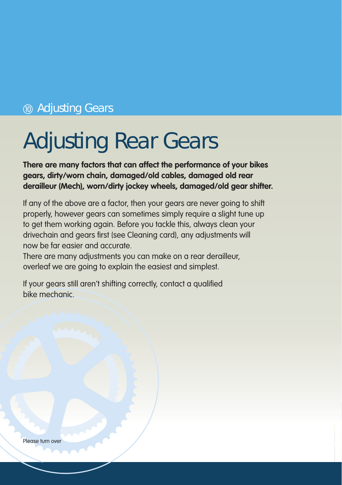### **(10) Adjusting Gears**

## Adjusting Rear Gears

**There are many factors that can affect the performance of your bikes gears, dirty/worn chain, damaged/old cables, damaged old rear derailleur (Mech), worn/dirty jockey wheels, damaged/old gear shifter.**

If any of the above are a factor, then your gears are never going to shift properly, however gears can sometimes simply require a slight tune up to get them working again. Before you tackle this, always clean your drivechain and gears first (see Cleaning card), any adjustments will now be far easier and accurate.

There are many adjustments you can make on a rear derailleur, overleaf we are going to explain the easiest and simplest.

If your gears still aren't shifting correctly, contact a qualified bike mechanic.